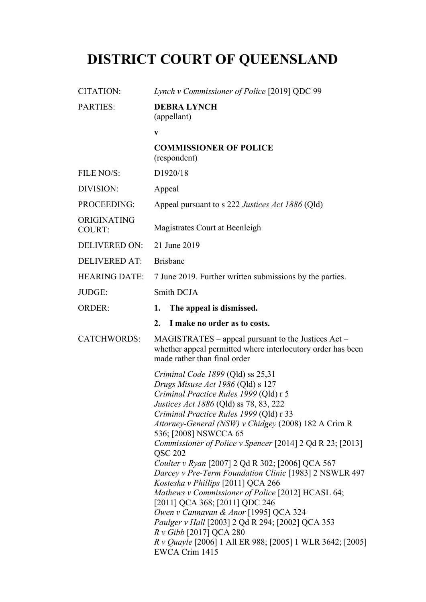# **DISTRICT COURT OF QUEENSLAND**

| <b>CITATION:</b>             | Lynch v Commissioner of Police [2019] QDC 99                                                                                                                                                                                                                                                                                                                                                                                                                                                                                                                                                                                                                                                                                                                                                                                                      |
|------------------------------|---------------------------------------------------------------------------------------------------------------------------------------------------------------------------------------------------------------------------------------------------------------------------------------------------------------------------------------------------------------------------------------------------------------------------------------------------------------------------------------------------------------------------------------------------------------------------------------------------------------------------------------------------------------------------------------------------------------------------------------------------------------------------------------------------------------------------------------------------|
| <b>PARTIES:</b>              | <b>DEBRA LYNCH</b><br>(appellant)                                                                                                                                                                                                                                                                                                                                                                                                                                                                                                                                                                                                                                                                                                                                                                                                                 |
|                              | $\mathbf{V}$                                                                                                                                                                                                                                                                                                                                                                                                                                                                                                                                                                                                                                                                                                                                                                                                                                      |
|                              | <b>COMMISSIONER OF POLICE</b><br>(respondent)                                                                                                                                                                                                                                                                                                                                                                                                                                                                                                                                                                                                                                                                                                                                                                                                     |
| FILE NO/S:                   | D1920/18                                                                                                                                                                                                                                                                                                                                                                                                                                                                                                                                                                                                                                                                                                                                                                                                                                          |
| DIVISION:                    | Appeal                                                                                                                                                                                                                                                                                                                                                                                                                                                                                                                                                                                                                                                                                                                                                                                                                                            |
| PROCEEDING:                  | Appeal pursuant to s 222 Justices Act 1886 (Qld)                                                                                                                                                                                                                                                                                                                                                                                                                                                                                                                                                                                                                                                                                                                                                                                                  |
| ORIGINATING<br><b>COURT:</b> | Magistrates Court at Beenleigh                                                                                                                                                                                                                                                                                                                                                                                                                                                                                                                                                                                                                                                                                                                                                                                                                    |
| <b>DELIVERED ON:</b>         | 21 June 2019                                                                                                                                                                                                                                                                                                                                                                                                                                                                                                                                                                                                                                                                                                                                                                                                                                      |
| <b>DELIVERED AT:</b>         | <b>Brisbane</b>                                                                                                                                                                                                                                                                                                                                                                                                                                                                                                                                                                                                                                                                                                                                                                                                                                   |
| <b>HEARING DATE:</b>         | 7 June 2019. Further written submissions by the parties.                                                                                                                                                                                                                                                                                                                                                                                                                                                                                                                                                                                                                                                                                                                                                                                          |
| JUDGE:                       | Smith DCJA                                                                                                                                                                                                                                                                                                                                                                                                                                                                                                                                                                                                                                                                                                                                                                                                                                        |
| <b>ORDER:</b>                | The appeal is dismissed.<br>1.                                                                                                                                                                                                                                                                                                                                                                                                                                                                                                                                                                                                                                                                                                                                                                                                                    |
|                              | 2.<br>I make no order as to costs.                                                                                                                                                                                                                                                                                                                                                                                                                                                                                                                                                                                                                                                                                                                                                                                                                |
| <b>CATCHWORDS:</b>           | $MAGISTRATES - appeal pursuant to the Justices Act -$<br>whether appeal permitted where interlocutory order has been<br>made rather than final order                                                                                                                                                                                                                                                                                                                                                                                                                                                                                                                                                                                                                                                                                              |
|                              | Criminal Code 1899 (Qld) ss 25,31<br>Drugs Misuse Act 1986 (Qld) s 127<br>Criminal Practice Rules 1999 (Qld) r 5<br><i>Justices Act 1886</i> (Qld) ss 78, 83, 222<br>Criminal Practice Rules 1999 (Qld) r 33<br>Attorney-General (NSW) v Chidgey (2008) 182 A Crim R<br>536; [2008] NSWCCA 65<br><i>Commissioner of Police v Spencer</i> [2014] $2$ Qd R $23$ ; [2013]<br><b>QSC 202</b><br>Coulter v Ryan [2007] 2 Qd R 302; [2006] QCA 567<br>Darcey v Pre-Term Foundation Clinic [1983] 2 NSWLR 497<br>Kosteska v Phillips [2011] QCA 266<br>Mathews v Commissioner of Police [2012] HCASL 64;<br>[2011] QCA 368; [2011] QDC 246<br>Owen v Cannavan & Anor [1995] QCA 324<br>Paulger v Hall [2003] 2 Qd R 294; [2002] QCA 353<br>R v Gibb [2017] QCA 280<br><i>R v Quayle</i> [2006] 1 All ER 988; [2005] 1 WLR 3642; [2005]<br>EWCA Crim 1415 |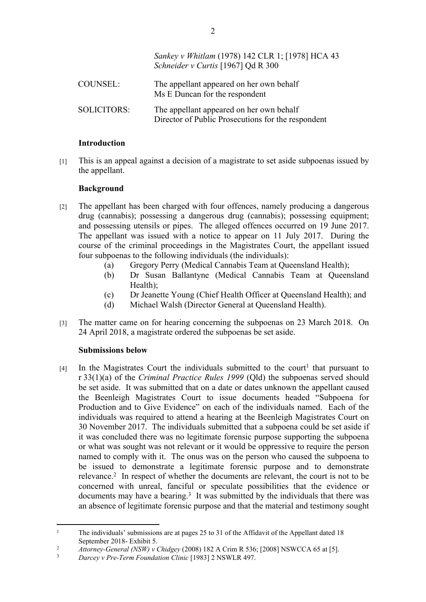|                    | Sankey v Whitlam (1978) 142 CLR 1; [1978] HCA 43<br>Schneider v Curtis [1967] Qd R 300         |
|--------------------|------------------------------------------------------------------------------------------------|
| <b>COUNSEL:</b>    | The appellant appeared on her own behalf<br>Ms E Duncan for the respondent                     |
| <b>SOLICITORS:</b> | The appellant appeared on her own behalf<br>Director of Public Prosecutions for the respondent |

#### **Introduction**

[1] This is an appeal against a decision of a magistrate to set aside subpoenas issued by the appellant.

### **Background**

- [2] The appellant has been charged with four offences, namely producing a dangerous drug (cannabis); possessing a dangerous drug (cannabis); possessing equipment; and possessing utensils or pipes. The alleged offences occurred on 19 June 2017. The appellant was issued with a notice to appear on 11 July 2017. During the course of the criminal proceedings in the Magistrates Court, the appellant issued four subpoenas to the following individuals (the individuals):
	- (a) Gregory Perry (Medical Cannabis Team at Queensland Health);
	- (b) Dr Susan Ballantyne (Medical Cannabis Team at Queensland Health);
	- (c) Dr Jeanette Young (Chief Health Officer at Queensland Health); and
	- (d) Michael Walsh (Director General at Queensland Health).
- [3] The matter came on for hearing concerning the subpoenas on 23 March 2018. On 24 April 2018, a magistrate ordered the subpoenas be set aside.

# **Submissions below**

 $[4]$  In the Magistrates Court the individuals submitted to the court<sup>1</sup> that pursuant to r 33(1)(a) of the *Criminal Practice Rules 1999* (Qld) the subpoenas served should be set aside. It was submitted that on a date or dates unknown the appellant caused the Beenleigh Magistrates Court to issue documents headed "Subpoena for Production and to Give Evidence" on each of the individuals named. Each of the individuals was required to attend a hearing at the Beenleigh Magistrates Court on 30 November 2017. The individuals submitted that a subpoena could be set aside if it was concluded there was no legitimate forensic purpose supporting the subpoena or what was sought was not relevant or it would be oppressive to require the person named to comply with it. The onus was on the person who caused the subpoena to be issued to demonstrate a legitimate forensic purpose and to demonstrate relevance.<sup>2</sup> In respect of whether the documents are relevant, the court is not to be concerned with unreal, fanciful or speculate possibilities that the evidence or documents may have a bearing.<sup>3</sup> It was submitted by the individuals that there was an absence of legitimate forensic purpose and that the material and testimony sought

<sup>1</sup> The individuals' submissions are at pages 25 to 31 of the Affidavit of the Appellant dated 18 September 2018- Exhibit 5.

<sup>2</sup> *Attorney-General (NSW) v Chidgey* (2008) 182 A Crim R 536; [2008] NSWCCA 65 at [5].

<sup>3</sup> *Darcey v Pre-Term Foundation Clinic* [1983] 2 NSWLR 497.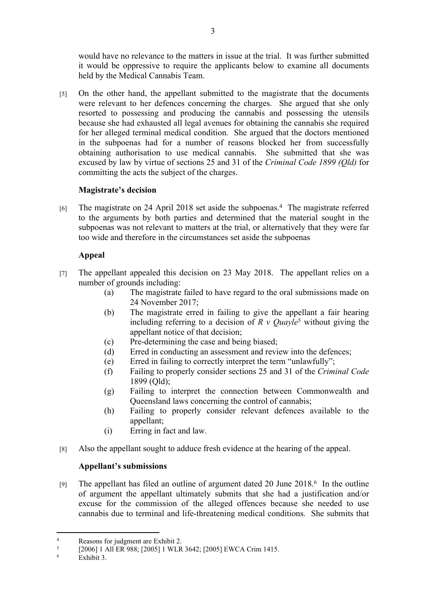would have no relevance to the matters in issue at the trial. It was further submitted it would be oppressive to require the applicants below to examine all documents held by the Medical Cannabis Team.

[5] On the other hand, the appellant submitted to the magistrate that the documents were relevant to her defences concerning the charges. She argued that she only resorted to possessing and producing the cannabis and possessing the utensils because she had exhausted all legal avenues for obtaining the cannabis she required for her alleged terminal medical condition. She argued that the doctors mentioned in the subpoenas had for a number of reasons blocked her from successfully obtaining authorisation to use medical cannabis. She submitted that she was excused by law by virtue of sections 25 and 31 of the *Criminal Code 1899 (Qld)* for committing the acts the subject of the charges.

# **Magistrate's decision**

[6] The magistrate on 24 April 2018 set aside the subpoenas.<sup>4</sup> The magistrate referred to the arguments by both parties and determined that the material sought in the subpoenas was not relevant to matters at the trial, or alternatively that they were far too wide and therefore in the circumstances set aside the subpoenas

# **Appeal**

- [7] The appellant appealed this decision on 23 May 2018. The appellant relies on a number of grounds including:
	- (a) The magistrate failed to have regard to the oral submissions made on 24 November 2017<sup>-</sup>
	- (b) The magistrate erred in failing to give the appellant a fair hearing including referring to a decision of  $R \vee Quayle^5$  without giving the appellant notice of that decision;
	- (c) Pre-determining the case and being biased;
	- (d) Erred in conducting an assessment and review into the defences;
	- (e) Erred in failing to correctly interpret the term "unlawfully";
	- (f) Failing to properly consider sections 25 and 31 of the *Criminal Code* 1899 (Qld);
	- (g) Failing to interpret the connection between Commonwealth and Queensland laws concerning the control of cannabis;
	- (h) Failing to properly consider relevant defences available to the appellant;
	- (i) Erring in fact and law.
- [8] Also the appellant sought to adduce fresh evidence at the hearing of the appeal.

# **Appellant's submissions**

[9] The appellant has filed an outline of argument dated 20 June 2018.<sup>6</sup> In the outline of argument the appellant ultimately submits that she had a justification and/or excuse for the commission of the alleged offences because she needed to use cannabis due to terminal and life-threatening medical conditions. She submits that

<sup>4</sup> Reasons for judgment are Exhibit 2.

<sup>5</sup> [2006] 1 All ER 988; [2005] 1 WLR 3642; [2005] EWCA Crim 1415.

<sup>6</sup> Exhibit 3.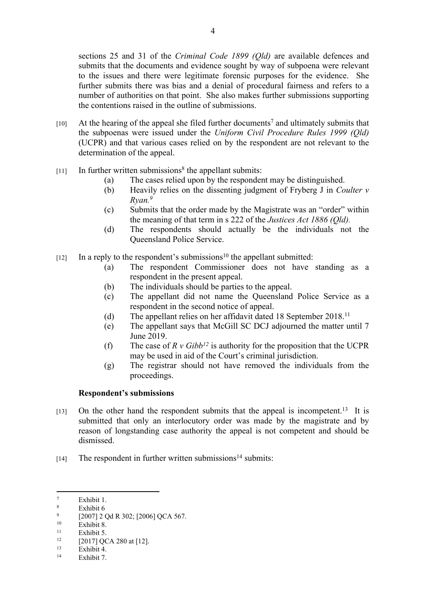sections 25 and 31 of the *Criminal Code 1899 (Qld)* are available defences and submits that the documents and evidence sought by way of subpoena were relevant to the issues and there were legitimate forensic purposes for the evidence. She further submits there was bias and a denial of procedural fairness and refers to a number of authorities on that point. She also makes further submissions supporting the contentions raised in the outline of submissions.

- $[10]$  At the hearing of the appeal she filed further documents<sup>7</sup> and ultimately submits that the subpoenas were issued under the *Uniform Civil Procedure Rules 1999 (Qld)* (UCPR) and that various cases relied on by the respondent are not relevant to the determination of the appeal.
- $[11]$  In further written submissions<sup>8</sup> the appellant submits:
	- (a) The cases relied upon by the respondent may be distinguished.
	- (b) Heavily relies on the dissenting judgment of Fryberg J in *Coulter v Ryan.<sup>9</sup>*
	- (c) Submits that the order made by the Magistrate was an "order" within the meaning of that term in s 222 of the *Justices Act 1886 (Qld).*
	- (d) The respondents should actually be the individuals not the Queensland Police Service.
- $[12]$  In a reply to the respondent's submissions<sup>10</sup> the appellant submitted:
	- (a) The respondent Commissioner does not have standing as a respondent in the present appeal.
	- (b) The individuals should be parties to the appeal.
	- (c) The appellant did not name the Queensland Police Service as a respondent in the second notice of appeal.
	- (d) The appellant relies on her affidavit dated 18 September 2018.<sup>11</sup>
	- (e) The appellant says that McGill SC DCJ adjourned the matter until 7 June 2019.
	- (f) The case of  $R v Gibb^{12}$  is authority for the proposition that the UCPR may be used in aid of the Court's criminal jurisdiction.
	- (g) The registrar should not have removed the individuals from the proceedings.

#### **Respondent's submissions**

- $[13]$  On the other hand the respondent submits that the appeal is incompetent.<sup>13</sup> It is submitted that only an interlocutory order was made by the magistrate and by reason of longstanding case authority the appeal is not competent and should be dismissed.
- $[14]$  The respondent in further written submissions<sup>14</sup> submits:

Exhibit 7.

<sup>7</sup> Exhibit 1.

<sup>8</sup> Exhibit 6

 $\mathbf{Q}$  $^{9}$  [2007] 2 Qd R 302; [2006] QCA 567.

 $10$  Exhibit 8.

 $11$  Exhibit 5.

 $^{12}$  [2017] QCA 280 at [12].

 $13$  Exhibit 4.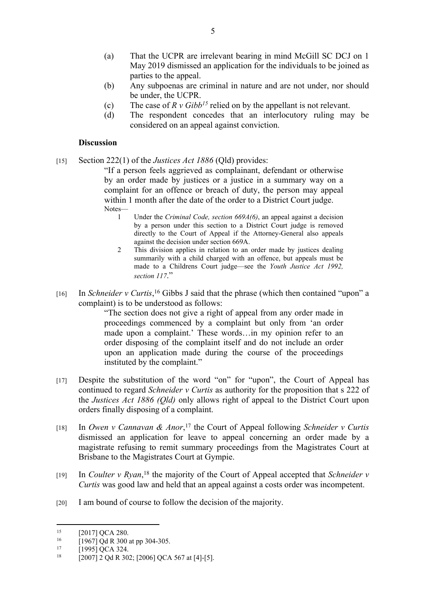- (a) That the UCPR are irrelevant bearing in mind McGill SC DCJ on 1 May 2019 dismissed an application for the individuals to be joined as parties to the appeal.
- (b) Any subpoenas are criminal in nature and are not under, nor should be under, the UCPR.
- (c) The case of *R v Gibb<sup>15</sup>* relied on by the appellant is not relevant.
- (d) The respondent concedes that an interlocutory ruling may be considered on an appeal against conviction.

#### **Discussion**

[15] Section 222(1) of the *Justices Act 1886* (Qld) provides:

"If a person feels aggrieved as complainant, defendant or otherwise by an order made by justices or a justice in a summary way on a complaint for an offence or breach of duty, the person may appeal within 1 month after the date of the order to a District Court judge. Notes—

- 1 Under the *Criminal Code, section 669A(6)*, an appeal against a decision by a person under this section to a District Court judge is removed directly to the Court of Appeal if the Attorney-General also appeals against the decision under section 669A.
- 2 This division applies in relation to an order made by justices dealing summarily with a child charged with an offence, but appeals must be made to a Childrens Court judge—see the *Youth Justice Act 1992, section 117*."
- [16] In *Schneider v Curtis*,<sup>16</sup> Gibbs J said that the phrase (which then contained "upon" a complaint) is to be understood as follows:

"The section does not give a right of appeal from any order made in proceedings commenced by a complaint but only from 'an order made upon a complaint.' These words…in my opinion refer to an order disposing of the complaint itself and do not include an order upon an application made during the course of the proceedings instituted by the complaint."

- [17] Despite the substitution of the word "on" for "upon", the Court of Appeal has continued to regard *Schneider v Curtis* as authority for the proposition that s 222 of the *Justices Act 1886 (Qld)* only allows right of appeal to the District Court upon orders finally disposing of a complaint.
- [18] In *Owen v Cannavan & Anor*, <sup>17</sup> the Court of Appeal following *Schneider v Curtis*  dismissed an application for leave to appeal concerning an order made by a magistrate refusing to remit summary proceedings from the Magistrates Court at Brisbane to the Magistrates Court at Gympie.
- [19] In *Coulter v Ryan*, <sup>18</sup> the majority of the Court of Appeal accepted that *Schneider v Curtis* was good law and held that an appeal against a costs order was incompetent.
- [20] I am bound of course to follow the decision of the majority.

<sup>&</sup>lt;sup>15</sup>  $[2017]$  QCA 280.<br><sup>16</sup>  $[1067]$  Od P 200.

<sup>&</sup>lt;sup>16</sup>  $[1967]$  Qd R 300 at pp 304-305.

 $17$  [1995] QCA 324.<br>  $18$  [2007] 2 Qd B 200

<sup>[2007] 2</sup> Qd R 302; [2006] QCA 567 at [4]-[5].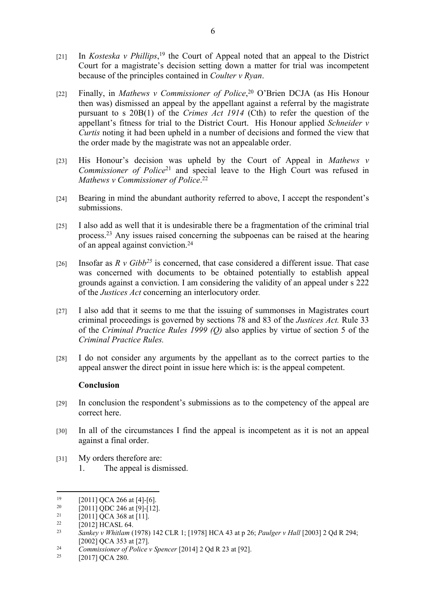- [21] In *Kosteska v Phillips*, <sup>19</sup> the Court of Appeal noted that an appeal to the District Court for a magistrate's decision setting down a matter for trial was incompetent because of the principles contained in *Coulter v Ryan*.
- [22] Finally, in *Mathews v Commissioner of Police*, <sup>20</sup> O'Brien DCJA (as His Honour then was) dismissed an appeal by the appellant against a referral by the magistrate pursuant to s 20B(1) of the *Crimes Act 1914* (Cth) to refer the question of the appellant's fitness for trial to the District Court. His Honour applied *Schneider v Curtis* noting it had been upheld in a number of decisions and formed the view that the order made by the magistrate was not an appealable order.
- [23] His Honour's decision was upheld by the Court of Appeal in *Mathews v Commissioner of Police*<sup>21</sup> and special leave to the High Court was refused in *Mathews v Commissioner of Police*. 22
- [24] Bearing in mind the abundant authority referred to above, I accept the respondent's submissions.
- [25] I also add as well that it is undesirable there be a fragmentation of the criminal trial process.<sup>23</sup> Any issues raised concerning the subpoenas can be raised at the hearing of an appeal against conviction.<sup>24</sup>
- [26] Insofar as  $R \vee Gibb^{25}$  is concerned, that case considered a different issue. That case was concerned with documents to be obtained potentially to establish appeal grounds against a conviction. I am considering the validity of an appeal under s 222 of the *Justices Act* concerning an interlocutory order*.*
- [27] I also add that it seems to me that the issuing of summonses in Magistrates court criminal proceedings is governed by sections 78 and 83 of the *Justices Act.* Rule 33 of the *Criminal Practice Rules 1999 (Q)* also applies by virtue of section 5 of the *Criminal Practice Rules.*
- [28] I do not consider any arguments by the appellant as to the correct parties to the appeal answer the direct point in issue here which is: is the appeal competent.

#### **Conclusion**

- [29] In conclusion the respondent's submissions as to the competency of the appeal are correct here.
- [30] In all of the circumstances I find the appeal is incompetent as it is not an appeal against a final order.
- [31] My orders therefore are:
	- 1. The appeal is dismissed.

<sup>&</sup>lt;sup>19</sup> [2011] QCA 266 at [4]-[6].

<sup>&</sup>lt;sup>20</sup> [2011] QDC 246 at [9]-[12].

<sup>&</sup>lt;sup>21</sup> [2011] QCA 368 at [11].

 $\frac{22}{23}$  [2012] HCASL 64.

<sup>23</sup> *Sankey v Whitlam* (1978) 142 CLR 1; [1978] HCA 43 at p 26; *Paulger v Hall* [2003] 2 Qd R 294; [2002] QCA 353 at [27].

<sup>24</sup> *Commissioner of Police v Spencer* [2014] 2 Qd R 23 at [92].

<sup>[2017]</sup> QCA 280.